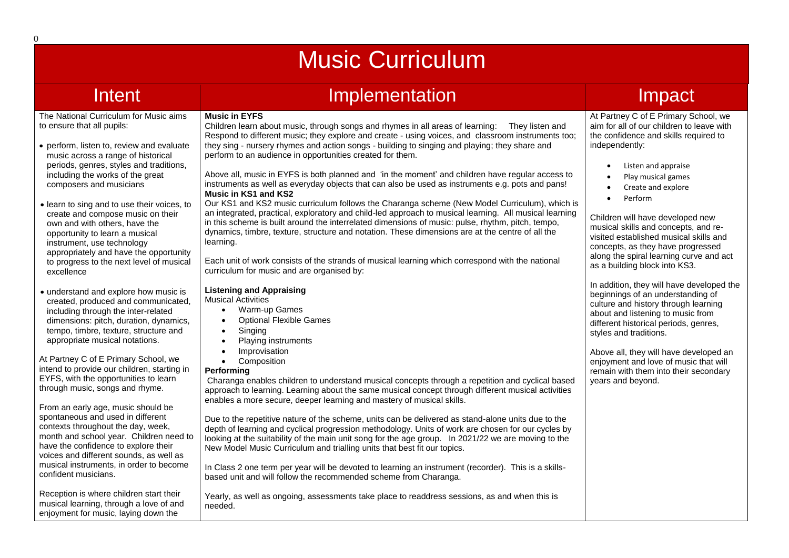# Music Curriculum

## Intent Implementation Implementation Impact

#### The National Curriculum for Music aims to ensure that all pupils:

- perform, listen to, review and evaluate music across a range of historical periods, genres, styles and traditions, including the works of the great composers and musicians
- learn to sing and to use their voices, to create and compose music on their own and with others, have the opportunity to learn a musical instrument, use technology appropriately and have the opportunity to progress to the next level of musical excellence
- understand and explore how music is created, produced and communicated, including through the inter-related dimensions: pitch, duration, dynamics, tempo, timbre, texture, structure and appropriate musical notations.

At Partney C of E Primary School, we intend to provide our children, starting in EYFS, with the opportunities to learn through music, songs and rhyme.

From an early age, music should be spontaneous and used in different contexts throughout the day, week, month and school year. Children need to have the confidence to explore their voices and different sounds, as well as musical instruments, in order to become confident musicians.

Reception is where children start their musical learning, through a love of and enjoyment for music, laying down the

#### **Music in EYFS** Children learn about music, through songs and rhymes in all areas of learning: They listen and Respond to different music; they explore and create - using voices, and classroom instruments too; they sing - nursery rhymes and action songs - building to singing and playing; they share and perform to an audience in opportunities created for them.

Above all, music in EYFS is both planned and 'in the moment' and children have regular access to instruments as well as everyday objects that can also be used as instruments e.g. pots and pans! **Music in KS1 and KS2** 

Our KS1 and KS2 music curriculum follows the Charanga scheme (New Model Curriculum), which is an integrated, practical, exploratory and child-led approach to musical learning. All musical learning in this scheme is built around the interrelated dimensions of music: pulse, rhythm, pitch, tempo, dynamics, timbre, texture, structure and notation. These dimensions are at the centre of all the learning.

Each unit of work consists of the strands of musical learning which correspond with the national curriculum for music and are organised by:

#### **Listening and Appraising**  Musical Activities

- Warm-up Games
- Optional Flexible Games
- **Singing**
- Playing instruments
- **Improvisation**
- Composition

### **Performing**

Charanga enables children to understand musical concepts through a repetition and cyclical based approach to learning. Learning about the same musical concept through different musical activities enables a more secure, deeper learning and mastery of musical skills.

Due to the repetitive nature of the scheme, units can be delivered as stand-alone units due to the depth of learning and cyclical progression methodology. Units of work are chosen for our cycles by looking at the suitability of the main unit song for the age group. In 2021/22 we are moving to the New Model Music Curriculum and trialling units that best fit our topics.

In Class 2 one term per year will be devoted to learning an instrument (recorder). This is a skillsbased unit and will follow the recommended scheme from Charanga.

Yearly, as well as ongoing, assessments take place to readdress sessions, as and when this is needed.

At Partney C of E Primary School, we aim for all of our children to leave with the confidence and skills required to independently:

- Listen and appraise
	- Play musical games
	- Create and explore
	- Perform

Children will have developed new musical skills and concepts, and revisited established musical skills and concepts, as they have progressed along the spiral learning curve and act as a building block into KS3.

In addition, they will have developed the beginnings of an understanding of culture and history through learning about and listening to music from different historical periods, genres, styles and traditions.

Above all, they will have developed an enjoyment and love of music that will remain with them into their secondary years and beyond.